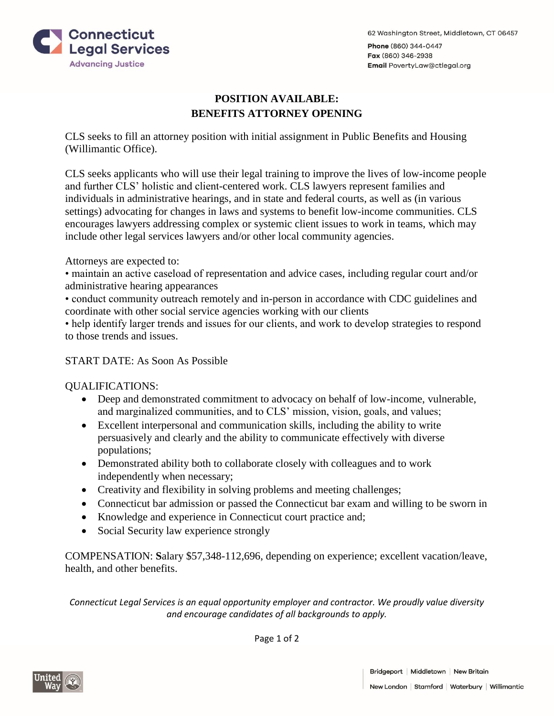



## **POSITION AVAILABLE: BENEFITS ATTORNEY OPENING**

CLS seeks to fill an attorney position with initial assignment in Public Benefits and Housing (Willimantic Office).

CLS seeks applicants who will use their legal training to improve the lives of low-income people and further CLS' holistic and client-centered work. CLS lawyers represent families and individuals in administrative hearings, and in state and federal courts, as well as (in various settings) advocating for changes in laws and systems to benefit low-income communities. CLS encourages lawyers addressing complex or systemic client issues to work in teams, which may include other legal services lawyers and/or other local community agencies.

Attorneys are expected to:

• maintain an active caseload of representation and advice cases, including regular court and/or administrative hearing appearances

• conduct community outreach remotely and in-person in accordance with CDC guidelines and coordinate with other social service agencies working with our clients

• help identify larger trends and issues for our clients, and work to develop strategies to respond to those trends and issues.

## START DATE: As Soon As Possible

QUALIFICATIONS:

- Deep and demonstrated commitment to advocacy on behalf of low-income, vulnerable, and marginalized communities, and to CLS' mission, vision, goals, and values;
- Excellent interpersonal and communication skills, including the ability to write persuasively and clearly and the ability to communicate effectively with diverse populations;
- Demonstrated ability both to collaborate closely with colleagues and to work independently when necessary;
- Creativity and flexibility in solving problems and meeting challenges;
- Connecticut bar admission or passed the Connecticut bar exam and willing to be sworn in
- Knowledge and experience in Connecticut court practice and;
- Social Security law experience strongly

COMPENSATION: **S**alary \$57,348-112,696, depending on experience; excellent vacation/leave, health, and other benefits.

*Connecticut Legal Services is an equal opportunity employer and contractor. We proudly value diversity and encourage candidates of all backgrounds to apply.*

Page 1 of 2